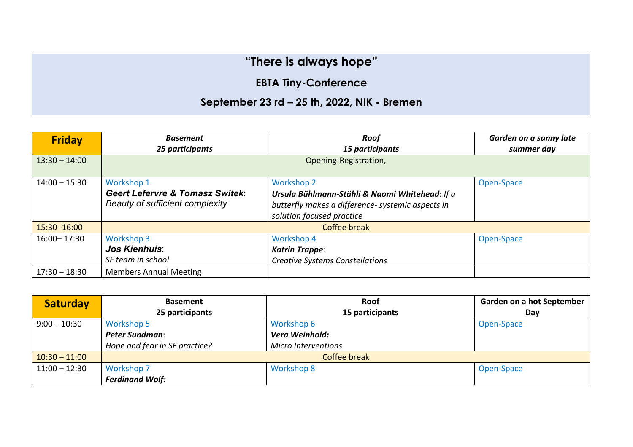## **"There is always hope"**

## **EBTA Tiny-Conference**

## **September 23 rd – 25 th, 2022, NIK - Bremen**

| <b>Friday</b>   | <b>Basement</b><br>25 participants                                                          | <b>Roof</b><br>15 participants                                                                                                                        | Garden on a sunny late<br>summer day |
|-----------------|---------------------------------------------------------------------------------------------|-------------------------------------------------------------------------------------------------------------------------------------------------------|--------------------------------------|
| $13:30 - 14:00$ | Opening-Registration,                                                                       |                                                                                                                                                       |                                      |
| $14:00 - 15:30$ | Workshop 1<br><b>Geert Lefervre &amp; Tomasz Switek:</b><br>Beauty of sufficient complexity | <b>Workshop 2</b><br>Ursula Bühlmann-Stähli & Naomi Whitehead: If a<br>butterfly makes a difference- systemic aspects in<br>solution focused practice | Open-Space                           |
| $15:30 - 16:00$ | Coffee break                                                                                |                                                                                                                                                       |                                      |
| 16:00 - 17:30   | <b>Workshop 3</b><br><b>Jos Kienhuis:</b><br>SF team in school                              | <b>Workshop 4</b><br><b>Katrin Trappe:</b><br><b>Creative Systems Constellations</b>                                                                  | Open-Space                           |
| $17:30 - 18:30$ | <b>Members Annual Meeting</b>                                                               |                                                                                                                                                       |                                      |

| <b>Saturday</b> | <b>Basement</b>               | Roof                       | <b>Garden on a hot September</b> |
|-----------------|-------------------------------|----------------------------|----------------------------------|
|                 | 25 participants               | 15 participants            | Day                              |
| $9:00 - 10:30$  | <b>Workshop 5</b>             | <b>Workshop 6</b>          | Open-Space                       |
|                 | <b>Peter Sundman:</b>         | Vera Weinhold:             |                                  |
|                 | Hope and fear in SF practice? | <b>Micro Interventions</b> |                                  |
| $10:30 - 11:00$ | Coffee break                  |                            |                                  |
| $11:00 - 12:30$ | <b>Workshop 7</b>             | <b>Workshop 8</b>          | Open-Space                       |
|                 | <b>Ferdinand Wolf:</b>        |                            |                                  |